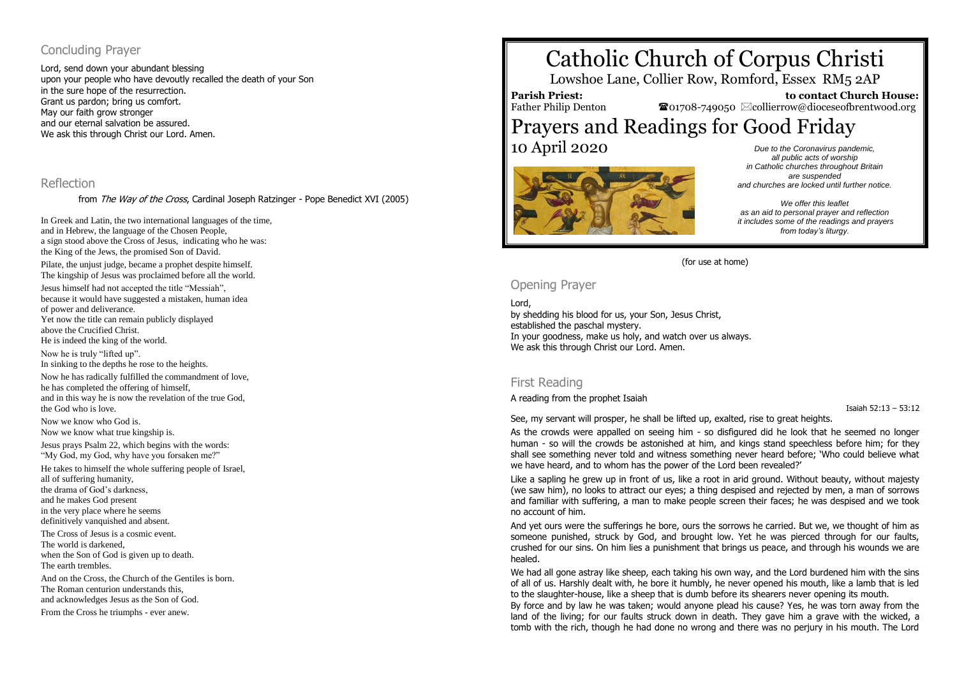# Concluding Prayer

Lord, send down your abundant blessing upon your people who have devoutly recalled the death of your Son in the sure hope of the resurrection. Grant us pardon; bring us comfort. May our faith grow stronger and our eternal salvation be assured. We ask this through Christ our Lord. Amen.

### Reflection

from The Way of the Cross, Cardinal Joseph Ratzinger - Pope Benedict XVI (2005)

In Greek and Latin, the two international languages of the time, and in Hebrew, the language of the Chosen People, a sign stood above the Cross of Jesus, indicating who he was: the King of the Jews, the promised Son of David.

Pilate, the unjust judge, became a prophet despite himself. The kingship of Jesus was proclaimed before all the world.

Jesus himself had not accepted the title "Messiah", because it would have suggested a mistaken, human idea of power and deliverance. Yet now the title can remain publicly displayed

above the Crucified Christ. He is indeed the king of the world.

Now he is truly "lifted up". In sinking to the depths he rose to the heights. Now he has radically fulfilled the commandment of love, he has completed the offering of himself, and in this way he is now the revelation of the true God, the God who is love.

Now we know who God is. Now we know what true kingship is.

Jesus prays Psalm 22, which begins with the words: "My God, my God, why have you forsaken me?"

He takes to himself the whole suffering people of Israel, all of suffering humanity, the drama of God's darkness, and he makes God present in the very place where he seems definitively vanquished and absent.

The Cross of Jesus is a cosmic event. The world is darkened, when the Son of God is given up to death.

The earth trembles. And on the Cross, the Church of the Gentiles is born. The Roman centurion understands this, and acknowledges Jesus as the Son of God. From the Cross he triumphs - ever anew.

# Catholic Church of Corpus Christi

Lowshoe Lane, Collier Row, Romford, Essex RM5 2AP

**Parish Priest:** Father Philip Denton

 **to contact Church House:**  $\bullet$ 01708-749050  $\boxtimes$ collierrow@dioceseofbrentwood.org

# Prayers and Readings for Good Friday

10 April 2020 *Due to the Coronavirus pandemic,*



*all public acts of worship in Catholic churches throughout Britain are suspended and churches are locked until further notice.*

*We offer this leaflet as an aid to personal prayer and reflection it includes some of the readings and prayers from today's liturgy.*

(for use at home)

# Opening Prayer

Lord, by shedding his blood for us, your Son, Jesus Christ, established the paschal mystery. In your goodness, make us holy, and watch over us always. We ask this through Christ our Lord. Amen.

# First Reading

A reading from the prophet Isaiah

Isaiah 52:13 – 53:12

See, my servant will prosper, he shall be lifted up, exalted, rise to great heights.

As the crowds were appalled on seeing him - so disfigured did he look that he seemed no longer human - so will the crowds be astonished at him, and kings stand speechless before him; for they shall see something never told and witness something never heard before; 'Who could believe what we have heard, and to whom has the power of the Lord been revealed?'

Like a sapling he grew up in front of us, like a root in arid ground. Without beauty, without majesty (we saw him), no looks to attract our eyes; a thing despised and rejected by men, a man of sorrows and familiar with suffering, a man to make people screen their faces; he was despised and we took no account of him.

And yet ours were the sufferings he bore, ours the sorrows he carried. But we, we thought of him as someone punished, struck by God, and brought low. Yet he was pierced through for our faults, crushed for our sins. On him lies a punishment that brings us peace, and through his wounds we are healed.

We had all gone astray like sheep, each taking his own way, and the Lord burdened him with the sins of all of us. Harshly dealt with, he bore it humbly, he never opened his mouth, like a lamb that is led to the slaughter-house, like a sheep that is dumb before its shearers never opening its mouth.

By force and by law he was taken; would anyone plead his cause? Yes, he was torn away from the land of the living; for our faults struck down in death. They gave him a grave with the wicked, a tomb with the rich, though he had done no wrong and there was no perjury in his mouth. The Lord